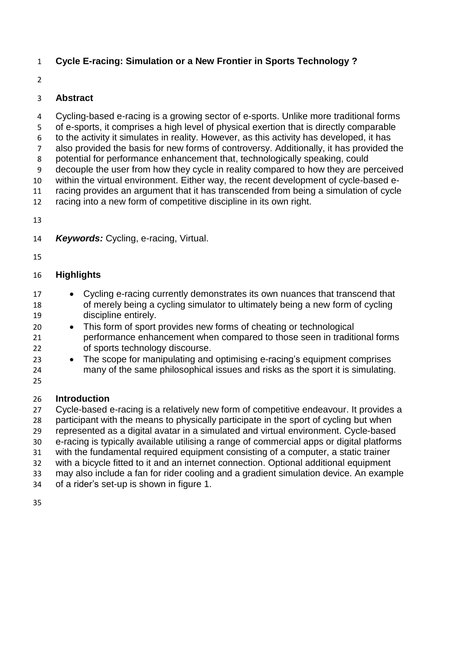## **Cycle E-racing: Simulation or a New Frontier in Sports Technology ?**

### **Abstract**

 Cycling-based e-racing is a growing sector of e-sports. Unlike more traditional forms of e-sports, it comprises a high level of physical exertion that is directly comparable to the activity it simulates in reality. However, as this activity has developed, it has also provided the basis for new forms of controversy. Additionally, it has provided the potential for performance enhancement that, technologically speaking, could decouple the user from how they cycle in reality compared to how they are perceived within the virtual environment. Either way, the recent development of cycle-based e- racing provides an argument that it has transcended from being a simulation of cycle racing into a new form of competitive discipline in its own right.

*Keywords:* Cycling, e-racing, Virtual.

### 

### **Highlights**

- Cycling e-racing currently demonstrates its own nuances that transcend that of merely being a cycling simulator to ultimately being a new form of cycling discipline entirely.
- This form of sport provides new forms of cheating or technological performance enhancement when compared to those seen in traditional forms of sports technology discourse.
- The scope for manipulating and optimising e-racing's equipment comprises many of the same philosophical issues and risks as the sport it is simulating.
- 

### **Introduction**

 Cycle-based e-racing is a relatively new form of competitive endeavour. It provides a participant with the means to physically participate in the sport of cycling but when represented as a digital avatar in a simulated and virtual environment. Cycle-based e-racing is typically available utilising a range of commercial apps or digital platforms with the fundamental required equipment consisting of a computer, a static trainer with a bicycle fitted to it and an internet connection. Optional additional equipment may also include a fan for rider cooling and a gradient simulation device. An example of a rider's set-up is shown in figure 1.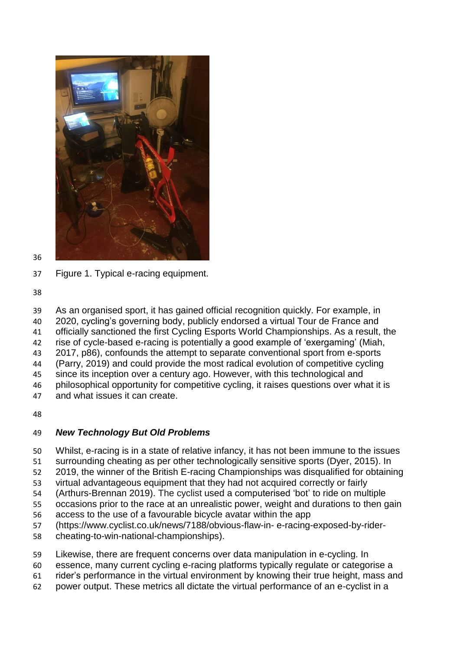

Figure 1. Typical e-racing equipment.

 As an organised sport, it has gained official recognition quickly. For example, in 2020, cycling's governing body, publicly endorsed a virtual Tour de France and officially sanctioned the first Cycling Esports World Championships. As a result, the rise of cycle-based e-racing is potentially a good example of 'exergaming' (Miah, 2017, p86), confounds the attempt to separate conventional sport from e-sports (Parry, 2019) and could provide the most radical evolution of competitive cycling since its inception over a century ago. However, with this technological and philosophical opportunity for competitive cycling, it raises questions over what it is and what issues it can create.

# *New Technology But Old Problems*

Whilst, e-racing is in a state of relative infancy, it has not been immune to the issues

- surrounding cheating as per other technologically sensitive sports (Dyer, 2015). In
- 2019, the winner of the British E-racing Championships was disqualified for obtaining virtual advantageous equipment that they had not acquired correctly or fairly
- (Arthurs-Brennan 2019). The cyclist used a computerised 'bot' to ride on multiple
- occasions prior to the race at an unrealistic power, weight and durations to then gain
- access to the use of a favourable bicycle avatar within the app
- (https://www.cyclist.co.uk/news/7188/obvious-flaw-in- e-racing-exposed-by-rider-
- cheating-to-win-national-championships).
- Likewise, there are frequent concerns over data manipulation in e-cycling. In
- essence, many current cycling e-racing platforms typically regulate or categorise a
- rider's performance in the virtual environment by knowing their true height, mass and
- power output. These metrics all dictate the virtual performance of an e-cyclist in a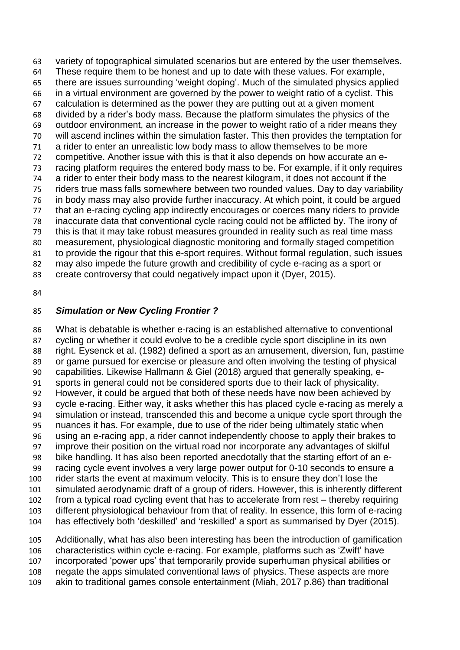variety of topographical simulated scenarios but are entered by the user themselves. These require them to be honest and up to date with these values. For example, there are issues surrounding 'weight doping'. Much of the simulated physics applied in a virtual environment are governed by the power to weight ratio of a cyclist. This calculation is determined as the power they are putting out at a given moment divided by a rider's body mass. Because the platform simulates the physics of the outdoor environment, an increase in the power to weight ratio of a rider means they will ascend inclines within the simulation faster. This then provides the temptation for a rider to enter an unrealistic low body mass to allow themselves to be more competitive. Another issue with this is that it also depends on how accurate an e- racing platform requires the entered body mass to be. For example, if it only requires a rider to enter their body mass to the nearest kilogram, it does not account if the riders true mass falls somewhere between two rounded values. Day to day variability in body mass may also provide further inaccuracy. At which point, it could be argued that an e-racing cycling app indirectly encourages or coerces many riders to provide inaccurate data that conventional cycle racing could not be afflicted by. The irony of this is that it may take robust measures grounded in reality such as real time mass measurement, physiological diagnostic monitoring and formally staged competition to provide the rigour that this e-sport requires. Without formal regulation, such issues may also impede the future growth and credibility of cycle e-racing as a sport or create controversy that could negatively impact upon it (Dyer, 2015).

#### 

### *Simulation or New Cycling Frontier ?*

 What is debatable is whether e-racing is an established alternative to conventional cycling or whether it could evolve to be a credible cycle sport discipline in its own right. Eysenck et al. (1982) defined a sport as an amusement, diversion, fun, pastime or game pursued for exercise or pleasure and often involving the testing of physical capabilities. Likewise Hallmann & Giel (2018) argued that generally speaking, e- sports in general could not be considered sports due to their lack of physicality. However, it could be argued that both of these needs have now been achieved by cycle e-racing. Either way, it asks whether this has placed cycle e-racing as merely a simulation or instead, transcended this and become a unique cycle sport through the nuances it has. For example, due to use of the rider being ultimately static when using an e-racing app, a rider cannot independently choose to apply their brakes to improve their position on the virtual road nor incorporate any advantages of skilful bike handling. It has also been reported anecdotally that the starting effort of an e- racing cycle event involves a very large power output for 0-10 seconds to ensure a rider starts the event at maximum velocity. This is to ensure they don't lose the simulated aerodynamic draft of a group of riders. However, this is inherently different from a typical road cycling event that has to accelerate from rest – thereby requiring different physiological behaviour from that of reality. In essence, this form of e-racing has effectively both 'deskilled' and 'reskilled' a sport as summarised by Dyer (2015).

 Additionally, what has also been interesting has been the introduction of gamification characteristics within cycle e-racing. For example, platforms such as 'Zwift' have incorporated 'power ups' that temporarily provide superhuman physical abilities or negate the apps simulated conventional laws of physics. These aspects are more akin to traditional games console entertainment (Miah, 2017 p.86) than traditional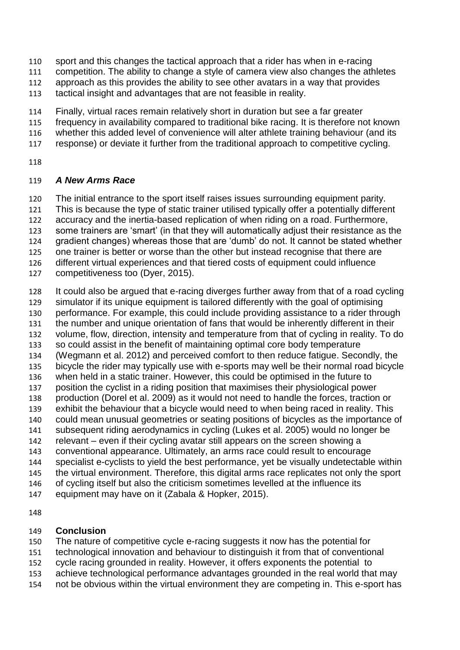- sport and this changes the tactical approach that a rider has when in e-racing
- competition. The ability to change a style of camera view also changes the athletes
- approach as this provides the ability to see other avatars in a way that provides
- tactical insight and advantages that are not feasible in reality.
- Finally, virtual races remain relatively short in duration but see a far greater
- frequency in availability compared to traditional bike racing. It is therefore not known
- whether this added level of convenience will alter athlete training behaviour (and its
- response) or deviate it further from the traditional approach to competitive cycling.
- 

## *A New Arms Race*

The initial entrance to the sport itself raises issues surrounding equipment parity.

- This is because the type of static trainer utilised typically offer a potentially different
- accuracy and the inertia-based replication of when riding on a road. Furthermore,
- some trainers are 'smart' (in that they will automatically adjust their resistance as the
- gradient changes) whereas those that are 'dumb' do not. It cannot be stated whether one trainer is better or worse than the other but instead recognise that there are
- different virtual experiences and that tiered costs of equipment could influence
- competitiveness too (Dyer, 2015).
- It could also be argued that e-racing diverges further away from that of a road cycling simulator if its unique equipment is tailored differently with the goal of optimising performance. For example, this could include providing assistance to a rider through the number and unique orientation of fans that would be inherently different in their volume, flow, direction, intensity and temperature from that of cycling in reality. To do so could assist in the benefit of maintaining optimal core body temperature (Wegmann et al. 2012) and perceived comfort to then reduce fatigue. Secondly, the bicycle the rider may typically use with e-sports may well be their normal road bicycle when held in a static trainer. However, this could be optimised in the future to position the cyclist in a riding position that maximises their physiological power production (Dorel et al. 2009) as it would not need to handle the forces, traction or exhibit the behaviour that a bicycle would need to when being raced in reality. This could mean unusual geometries or seating positions of bicycles as the importance of subsequent riding aerodynamics in cycling (Lukes et al. 2005) would no longer be relevant – even if their cycling avatar still appears on the screen showing a conventional appearance. Ultimately, an arms race could result to encourage specialist e-cyclists to yield the best performance, yet be visually undetectable within the virtual environment. Therefore, this digital arms race replicates not only the sport of cycling itself but also the criticism sometimes levelled at the influence its equipment may have on it (Zabala & Hopker, 2015).
- 

# **Conclusion**

- The nature of competitive cycle e-racing suggests it now has the potential for
- technological innovation and behaviour to distinguish it from that of conventional
- cycle racing grounded in reality. However, it offers exponents the potential to
- achieve technological performance advantages grounded in the real world that may
- not be obvious within the virtual environment they are competing in. This e-sport has